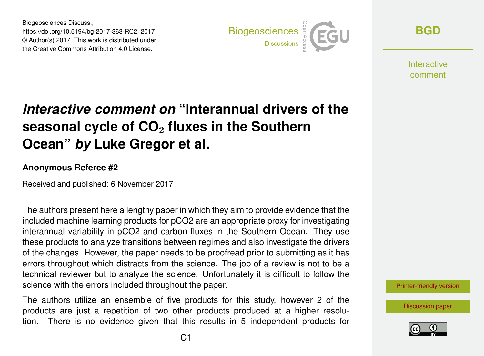Biogeosciences Discuss., https://doi.org/10.5194/bg-2017-363-RC2, 2017 © Author(s) 2017. This work is distributed under the Creative Commons Attribution 4.0 License.



**[BGD](https://www.biogeosciences-discuss.net/)**

Interactive comment

## *Interactive comment on* **"Interannual drivers of the seasonal cycle of CO**<sup>2</sup> **fluxes in the Southern Ocean"** *by* **Luke Gregor et al.**

## **Anonymous Referee #2**

Received and published: 6 November 2017

The authors present here a lengthy paper in which they aim to provide evidence that the included machine learning products for pCO2 are an appropriate proxy for investigating interannual variability in pCO2 and carbon fluxes in the Southern Ocean. They use these products to analyze transitions between regimes and also investigate the drivers of the changes. However, the paper needs to be proofread prior to submitting as it has errors throughout which distracts from the science. The job of a review is not to be a technical reviewer but to analyze the science. Unfortunately it is difficult to follow the science with the errors included throughout the paper.

The authors utilize an ensemble of five products for this study, however 2 of the products are just a repetition of two other products produced at a higher resolution. There is no evidence given that this results in 5 independent products for [Printer-friendly version](https://www.biogeosciences-discuss.net/bg-2017-363/bg-2017-363-RC2-print.pdf)

[Discussion paper](https://www.biogeosciences-discuss.net/bg-2017-363)

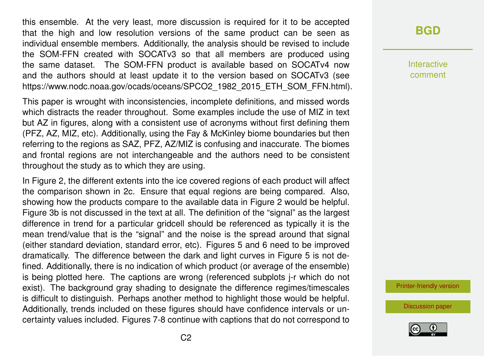this ensemble. At the very least, more discussion is required for it to be accepted that the high and low resolution versions of the same product can be seen as individual ensemble members. Additionally, the analysis should be revised to include the SOM-FFN created with SOCATv3 so that all members are produced using the same dataset. The SOM-FFN product is available based on SOCATv4 now and the authors should at least update it to the version based on SOCATv3 (see https://www.nodc.noaa.gov/ocads/oceans/SPCO2\_1982\_2015\_ETH\_SOM\_FFN.html).

This paper is wrought with inconsistencies, incomplete definitions, and missed words which distracts the reader throughout. Some examples include the use of MIZ in text but AZ in figures, along with a consistent use of acronyms without first defining them (PFZ, AZ, MIZ, etc). Additionally, using the Fay & McKinley biome boundaries but then referring to the regions as SAZ, PFZ, AZ/MIZ is confusing and inaccurate. The biomes and frontal regions are not interchangeable and the authors need to be consistent throughout the study as to which they are using.

In Figure 2, the different extents into the ice covered regions of each product will affect the comparison shown in 2c. Ensure that equal regions are being compared. Also, showing how the products compare to the available data in Figure 2 would be helpful. Figure 3b is not discussed in the text at all. The definition of the "signal" as the largest difference in trend for a particular gridcell should be referenced as typically it is the mean trend/value that is the "signal" and the noise is the spread around that signal (either standard deviation, standard error, etc). Figures 5 and 6 need to be improved dramatically. The difference between the dark and light curves in Figure 5 is not defined. Additionally, there is no indication of which product (or average of the ensemble) is being plotted here. The captions are wrong (referenced subplots j-r which do not exist). The background gray shading to designate the difference regimes/timescales is difficult to distinguish. Perhaps another method to highlight those would be helpful. Additionally, trends included on these figures should have confidence intervals or uncertainty values included. Figures 7-8 continue with captions that do not correspond to

**[BGD](https://www.biogeosciences-discuss.net/)**

Interactive comment

[Printer-friendly version](https://www.biogeosciences-discuss.net/bg-2017-363/bg-2017-363-RC2-print.pdf)

[Discussion paper](https://www.biogeosciences-discuss.net/bg-2017-363)